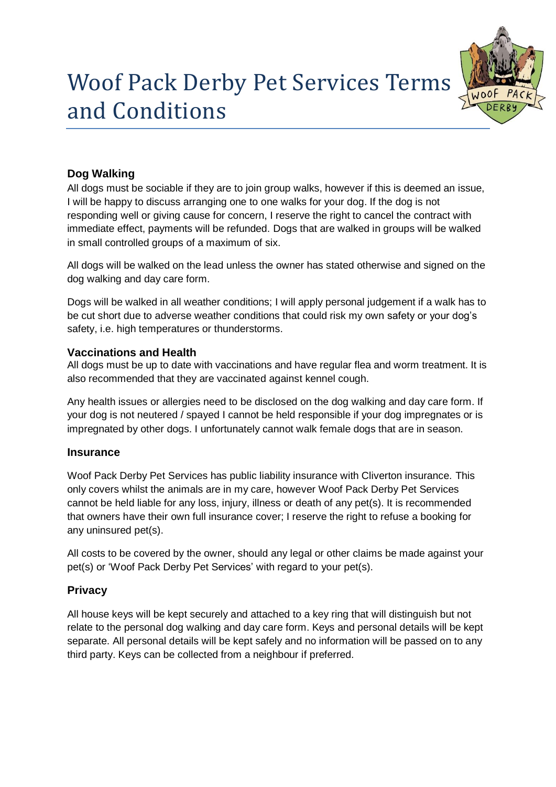# Woof Pack Derby Pet Services Terms and Conditions



# **Dog Walking**

All dogs must be sociable if they are to join group walks, however if this is deemed an issue, I will be happy to discuss arranging one to one walks for your dog. If the dog is not responding well or giving cause for concern, I reserve the right to cancel the contract with immediate effect, payments will be refunded. Dogs that are walked in groups will be walked in small controlled groups of a maximum of six.

All dogs will be walked on the lead unless the owner has stated otherwise and signed on the dog walking and day care form.

Dogs will be walked in all weather conditions; I will apply personal judgement if a walk has to be cut short due to adverse weather conditions that could risk my own safety or your dog's safety, i.e. high temperatures or thunderstorms.

## **Vaccinations and Health**

All dogs must be up to date with vaccinations and have regular flea and worm treatment. It is also recommended that they are vaccinated against kennel cough.

Any health issues or allergies need to be disclosed on the dog walking and day care form. If your dog is not neutered / spayed I cannot be held responsible if your dog impregnates or is impregnated by other dogs. I unfortunately cannot walk female dogs that are in season.

## **Insurance**

Woof Pack Derby Pet Services has public liability insurance with Cliverton insurance. This only covers whilst the animals are in my care, however Woof Pack Derby Pet Services cannot be held liable for any loss, injury, illness or death of any pet(s). It is recommended that owners have their own full insurance cover; I reserve the right to refuse a booking for any uninsured pet(s).

All costs to be covered by the owner, should any legal or other claims be made against your pet(s) or 'Woof Pack Derby Pet Services' with regard to your pet(s).

## **Privacy**

All house keys will be kept securely and attached to a key ring that will distinguish but not relate to the personal dog walking and day care form. Keys and personal details will be kept separate. All personal details will be kept safely and no information will be passed on to any third party. Keys can be collected from a neighbour if preferred.